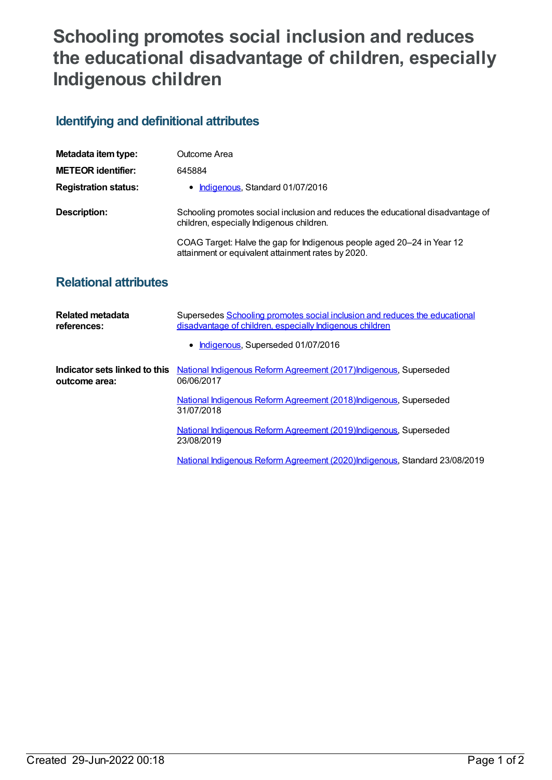## **Schooling promotes social inclusion and reduces the educational disadvantage of children, especially Indigenous children**

## **Identifying and definitional attributes**

| Metadata item type:         | Outcome Area                                                                                                                 |
|-----------------------------|------------------------------------------------------------------------------------------------------------------------------|
| <b>METEOR identifier:</b>   | 645884                                                                                                                       |
| <b>Registration status:</b> | Indigenous, Standard 01/07/2016                                                                                              |
| Description:                | Schooling promotes social inclusion and reduces the educational disadvantage of<br>children, especially Indigenous children. |
|                             | COAG Target: Halve the gap for Indigenous people aged 20–24 in Year 12<br>attainment or equivalent attainment rates by 2020. |

## **Relational attributes**

| Related metadata<br>references:                | Supersedes Schooling promotes social inclusion and reduces the educational<br>disadvantage of children, especially Indigenous children |
|------------------------------------------------|----------------------------------------------------------------------------------------------------------------------------------------|
|                                                | • Indigenous, Superseded 01/07/2016                                                                                                    |
| Indicator sets linked to this<br>outcome area: | National Indigenous Reform Agreement (2017) Indigenous, Superseded<br>06/06/2017                                                       |
|                                                | National Indigenous Reform Agreement (2018) Indigenous, Superseded<br>31/07/2018                                                       |
|                                                | National Indigenous Reform Agreement (2019)Indigenous, Superseded<br>23/08/2019                                                        |
|                                                | National Indigenous Reform Agreement (2020) Indigenous, Standard 23/08/2019                                                            |